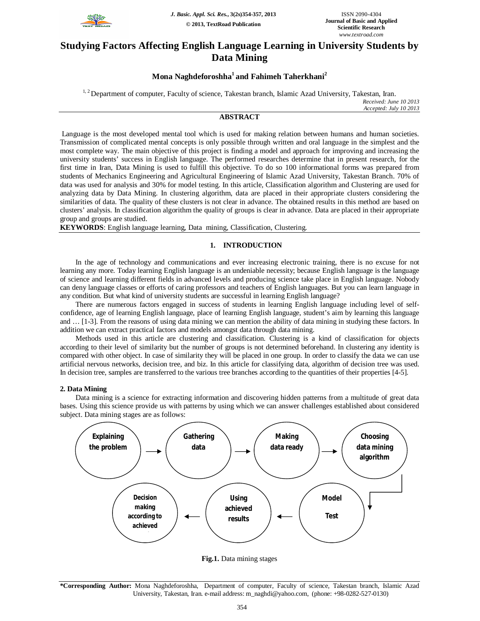

# **Studying Factors Affecting English Language Learning in University Students by Data Mining**

# **Mona Naghdeforoshha<sup>1</sup>and Fahimeh Taherkhani<sup>2</sup>**

<sup>1, 2</sup> Department of computer, Faculty of science, Takestan branch, Islamic Azad University, Takestan, Iran. *Received: June 10 2013 Accepted: July 10 2013*

# **ABSTRACT**

Language is the most developed mental tool which is used for making relation between humans and human societies. Transmission of complicated mental concepts is only possible through written and oral language in the simplest and the most complete way. The main objective of this project is finding a model and approach for improving and increasing the university students' success in English language. The performed researches determine that in present research, for the first time in Iran, Data Mining is used to fulfill this objective. To do so 100 informational forms was prepared from students of Mechanics Engineering and Agricultural Engineering of Islamic Azad University, Takestan Branch. 70% of data was used for analysis and 30% for model testing. In this article, Classification algorithm and Clustering are used for analyzing data by Data Mining. In clustering algorithm, data are placed in their appropriate clusters considering the similarities of data. The quality of these clusters is not clear in advance. The obtained results in this method are based on clusters' analysis. In classification algorithm the quality of groups is clear in advance. Data are placed in their appropriate group and groups are studied.

**KEYWORDS**: English language learning, Data mining, Classification, Clustering.

## **1. INTRODUCTION**

In the age of technology and communications and ever increasing electronic training, there is no excuse for not learning any more. Today learning English language is an undeniable necessity; because English language is the language of science and learning different fields in advanced levels and producing science take place in English language. Nobody can deny language classes or efforts of caring professors and teachers of English languages. But you can learn language in any condition. But what kind of university students are successful in learning English language?

There are numerous factors engaged in success of students in learning English language including level of selfconfidence, age of learning English language, place of learning English language, student's aim by learning this language and … [1-3]. From the reasons of using data mining we can mention the ability of data mining in studying these factors. In addition we can extract practical factors and models amongst data through data mining.

Methods used in this article are clustering and classification. Clustering is a kind of classification for objects according to their level of similarity but the number of groups is not determined beforehand. In clustering any identity is compared with other object. In case of similarity they will be placed in one group. In order to classify the data we can use artificial nervous networks, decision tree, and biz. In this article for classifying data, algorithm of decision tree was used. In decision tree, samples are transferred to the various tree branches according to the quantities of their properties [4-5].

### **2. Data Mining**

Data mining is a science for extracting information and discovering hidden patterns from a multitude of great data bases. Using this science provide us with patterns by using which we can answer challenges established about considered subject. Data mining stages are as follows:



**Fig.1.** Data mining stages

**<sup>\*</sup>Corresponding Author:** Mona Naghdeforoshha, Department of computer, Faculty of science, Takestan branch, Islamic Azad University, Takestan, Iran. e-mail address: m\_naghdi@yahoo.com, (phone: +98-0282-527-0130)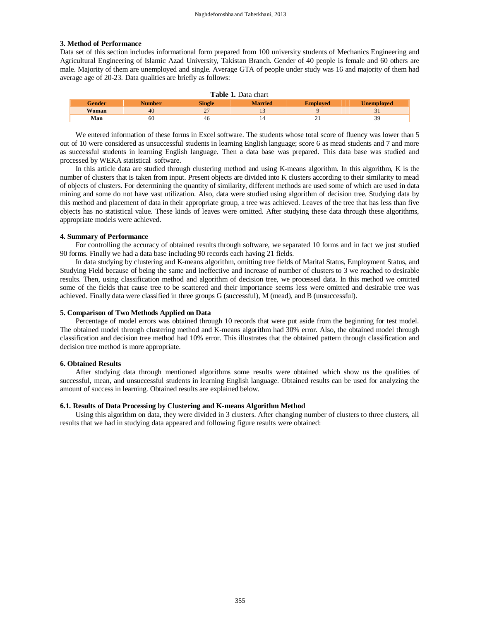#### **3. Method of Performance**

Data set of this section includes informational form prepared from 100 university students of Mechanics Engineering and Agricultural Engineering of Islamic Azad University, Takistan Branch. Gender of 40 people is female and 60 others are male. Majority of them are unemployed and single. Average GTA of people under study was 16 and majority of them had average age of 20-23. Data qualities are briefly as follows:

| <b>Table 1.</b> Data chart |               |               |                |                 |                   |  |  |  |
|----------------------------|---------------|---------------|----------------|-----------------|-------------------|--|--|--|
| <b>Gender</b>              | <b>Number</b> | <b>Single</b> | <b>Married</b> | <b>Employed</b> | <b>Unemployed</b> |  |  |  |
| <b>Woman</b>               | 40            | າາ            |                |                 |                   |  |  |  |
| Man                        | 60            | 46            |                |                 | 39                |  |  |  |

We entered information of these forms in Excel software. The students whose total score of fluency was lower than 5 out of 10 were considered as unsuccessful students in learning English language; score 6 as mead students and 7 and more as successful students in learning English language. Then a data base was prepared. This data base was studied and processed by WEKA statistical software.

In this article data are studied through clustering method and using K-means algorithm. In this algorithm, K is the number of clusters that is taken from input. Present objects are divided into K clusters according to their similarity to mead of objects of clusters. For determining the quantity of similarity, different methods are used some of which are used in data mining and some do not have vast utilization. Also, data were studied using algorithm of decision tree. Studying data by this method and placement of data in their appropriate group, a tree was achieved. Leaves of the tree that has less than five objects has no statistical value. These kinds of leaves were omitted. After studying these data through these algorithms, appropriate models were achieved.

#### **4. Summary of Performance**

For controlling the accuracy of obtained results through software, we separated 10 forms and in fact we just studied 90 forms. Finally we had a data base including 90 records each having 21 fields.

In data studying by clustering and K-means algorithm, omitting tree fields of Marital Status, Employment Status, and Studying Field because of being the same and ineffective and increase of number of clusters to 3 we reached to desirable results. Then, using classification method and algorithm of decision tree, we processed data. In this method we omitted some of the fields that cause tree to be scattered and their importance seems less were omitted and desirable tree was achieved. Finally data were classified in three groups G (successful), M (mead), and B (unsuccessful).

#### **5. Comparison of Two Methods Applied on Data**

Percentage of model errors was obtained through 10 records that were put aside from the beginning for test model. The obtained model through clustering method and K-means algorithm had 30% error. Also, the obtained model through classification and decision tree method had 10% error. This illustrates that the obtained pattern through classification and decision tree method is more appropriate.

#### **6. Obtained Results**

After studying data through mentioned algorithms some results were obtained which show us the qualities of successful, mean, and unsuccessful students in learning English language. Obtained results can be used for analyzing the amount of success in learning. Obtained results are explained below.

#### **6.1. Results of Data Processing by Clustering and K-means Algorithm Method**

Using this algorithm on data, they were divided in 3 clusters. After changing number of clusters to three clusters, all results that we had in studying data appeared and following figure results were obtained: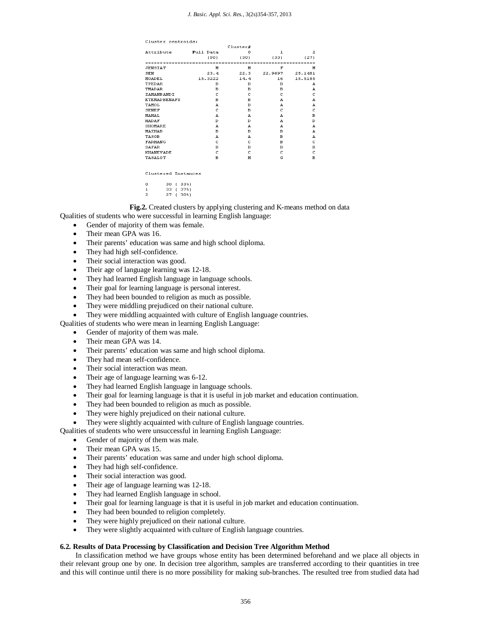| Cluster centroids:                                       |           |          |              |                |  |  |  |  |  |
|----------------------------------------------------------|-----------|----------|--------------|----------------|--|--|--|--|--|
|                                                          |           | Cluster# |              |                |  |  |  |  |  |
| Attribute                                                | Full Data | n        | $\mathbf{1}$ | $\overline{a}$ |  |  |  |  |  |
|                                                          | (90)      | (30)     | (33)         | (27)           |  |  |  |  |  |
| ------------------------<br>.<br>--------<br>----------- |           |          |              |                |  |  |  |  |  |
| JENSIAT                                                  | м         | м        | F            | M              |  |  |  |  |  |
| <b>SEN</b>                                               | 23.4      | 22.3     | 22.9697      | 25.1481        |  |  |  |  |  |
| MOADEL                                                   | 15.3222   | 14.4     | 16           | 15.5185        |  |  |  |  |  |
| TPEDAR                                                   | в         | в        | в            | А              |  |  |  |  |  |
| TMADAR                                                   | в         | в        | в            | A              |  |  |  |  |  |
| ZAMANBANDI                                               | c         | c        | c            | C              |  |  |  |  |  |
| <b>ETEMADBENAFS</b>                                      | в         | в        | A            | A              |  |  |  |  |  |
| TAMOL                                                    | A         | в        | A            | A              |  |  |  |  |  |
| <b>SENEF</b>                                             | c         | в        | c            | c              |  |  |  |  |  |
| <b>MAHAL</b>                                             | А         | А        | А            | в              |  |  |  |  |  |
| <b>HADAF</b>                                             | D         | D        | A            | D              |  |  |  |  |  |
| <b>SHOMARE</b>                                           | А         | А        | А            | А              |  |  |  |  |  |
| <b>MAZHAB</b>                                            | в         | в        | в            | А              |  |  |  |  |  |
| TASOB                                                    | А         | А        | в            | A              |  |  |  |  |  |
| <b>FARHANG</b>                                           | c         | c        | в            | c              |  |  |  |  |  |
| <b>SAFAR</b>                                             | в         | в        | в            | в              |  |  |  |  |  |
| <b>KHANEVADE</b>                                         | C         | C        | C            | c              |  |  |  |  |  |
| TASALOT                                                  | в         | и        | G            | в              |  |  |  |  |  |
|                                                          |           |          |              |                |  |  |  |  |  |
|                                                          |           |          |              |                |  |  |  |  |  |
| Clustered Instances                                      |           |          |              |                |  |  |  |  |  |
|                                                          |           |          |              |                |  |  |  |  |  |
| ο<br>30<br>$(33*)$                                       |           |          |              |                |  |  |  |  |  |
| $\mathbf{1}$<br>33<br>$37$ <sup>*</sup><br>$\epsilon$    |           |          |              |                |  |  |  |  |  |
| 2<br>27<br>$30*1$<br>τ.                                  |           |          |              |                |  |  |  |  |  |

**Fig.2.** Created clusters by applying clustering and K-means method on data Qualities of students who were successful in learning English language:

- Gender of majority of them was female.
- Their mean GPA was 16.
- Their parents' education was same and high school diploma.
- They had high self-confidence.
- Their social interaction was good.
- Their age of language learning was 12-18.
- They had learned English language in language schools.
- Their goal for learning language is personal interest.
- They had been bounded to religion as much as possible.
- They were middling prejudiced on their national culture.
- They were middling acquainted with culture of English language countries.

Qualities of students who were mean in learning English Language:

• Gender of majority of them was male.

- Their mean GPA was 14.
- Their parents' education was same and high school diploma.
- They had mean self-confidence.
- Their social interaction was mean.
- Their age of language learning was 6-12.
- They had learned English language in language schools.
- Their goal for learning language is that it is useful in job market and education continuation.
- They had been bounded to religion as much as possible.
- They were highly prejudiced on their national culture.
- They were slightly acquainted with culture of English language countries.

Qualities of students who were unsuccessful in learning English Language:

- Gender of majority of them was male.
- Their mean GPA was 15.
- Their parents' education was same and under high school diploma.
- They had high self-confidence.
- Their social interaction was good.
- Their age of language learning was 12-18.
- They had learned English language in school.
- Their goal for learning language is that it is useful in job market and education continuation.
- They had been bounded to religion completely.
- They were highly prejudiced on their national culture.
- They were slightly acquainted with culture of English language countries.

#### **6.2. Results of Data Processing by Classification and Decision Tree Algorithm Method**

In classification method we have groups whose entity has been determined beforehand and we place all objects in their relevant group one by one. In decision tree algorithm, samples are transferred according to their quantities in tree and this will continue until there is no more possibility for making sub-branches. The resulted tree from studied data had